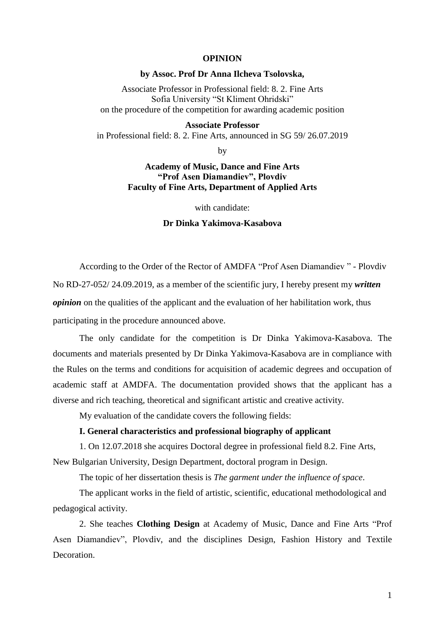## **OPINION**

#### **by Assoc. Prof Dr Anna Ilcheva Tsolovska,**

Associate Professor in Professional field: 8. 2. Fine Arts Sofia University "St Kliment Ohridski" on the procedure of the competition for awarding academic position

#### **Associate Professor**

in Professional field: 8. 2. Fine Arts, announced in SG 59/ 26.07.2019

by

# **Academy of Music, Dance and Fine Arts "Prof Asen Diamandiev", Plovdiv Faculty of Fine Arts, Department of Applied Arts**

with candidate:

# **Dr Dinka Yakimova-Kasabova**

According to the Order of the Rector of AMDFA "Prof Asen Diamandiev " - Plovdiv No RD-27-052/ 24.09.2019, as a member of the scientific jury, I hereby present my *written opinion* on the qualities of the applicant and the evaluation of her habilitation work, thus participating in the procedure announced above.

The only candidate for the competition is Dr Dinka Yakimova-Kasabova. The documents and materials presented by Dr Dinka Yakimova-Kasabova are in compliance with the Rules on the terms and conditions for acquisition of academic degrees and occupation of academic staff at AMDFA. The documentation provided shows that the applicant has a diverse and rich teaching, theoretical and significant artistic and creative activity.

My evaluation of the candidate covers the following fields:

## **I. General characteristics and professional biography of applicant**

1. On 12.07.2018 she acquires Doctoral degree in professional field 8.2. Fine Arts, New Bulgarian University, Design Department, doctoral program in Design.

The topic of her dissertation thesis is *The garment under the influence of space*.

The applicant works in the field of artistic, scientific, educational methodological and pedagogical activity.

2. She teaches **Clothing Design** at Academy of Music, Dance and Fine Arts "Prof Asen Diamandiev", Plovdiv, and the disciplines Design, Fashion History and Textile Decoration.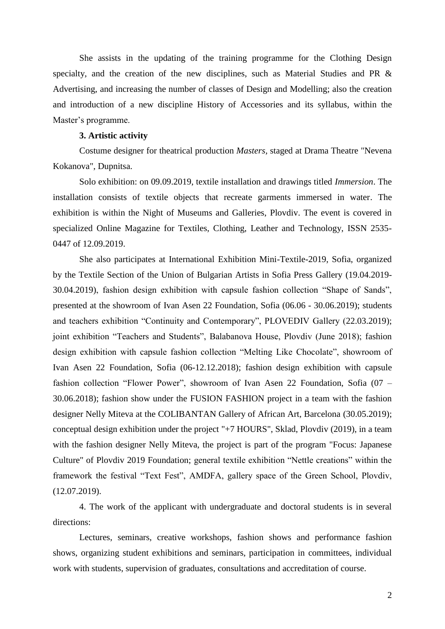She assists in the updating of the training programme for the Clothing Design specialty, and the creation of the new disciplines, such as Material Studies and PR & Advertising, and increasing the number of classes of Design and Modelling; also the creation and introduction of a new discipline History of Accessories and its syllabus, within the Master's programme.

#### **3. Artistic activity**

Costume designer for theatrical production *Masters,* staged at Drama Theatre "Nevena Kokanova", Dupnitsa.

Solo exhibition: on 09.09.2019, textile installation and drawings titled *Immersion*. The installation consists of textile objects that recreate garments immersed in water. The exhibition is within the Night of Museums and Galleries, Plovdiv. The event is covered in specialized Online Magazine for Textiles, Clothing, Leather and Technology, ISSN 2535- 0447 of 12.09.2019.

She also participates at International Exhibition Mini-Textile-2019, Sofia, organized by the Textile Section of the Union of Bulgarian Artists in Sofia Press Gallery (19.04.2019- 30.04.2019), fashion design exhibition with capsule fashion collection "Shape of Sands", presented at the showroom of Ivan Asen 22 Foundation, Sofia (06.06 - 30.06.2019); students and teachers exhibition "Continuity and Contemporary", PLOVEDIV Gallery (22.03.2019); joint exhibition "Teachers and Students", Balabanova House, Plovdiv (June 2018); fashion design exhibition with capsule fashion collection "Melting Like Chocolate", showroom of Ivan Asen 22 Foundation, Sofia (06-12.12.2018); fashion design exhibition with capsule fashion collection "Flower Power", showroom of Ivan Asen 22 Foundation, Sofia (07 – 30.06.2018); fashion show under the FUSION FASHION project in a team with the fashion designer Nelly Miteva at the COLIBANTAN Gallery of African Art, Barcelona (30.05.2019); conceptual design exhibition under the project "+7 HOURS", Sklad, Plovdiv (2019), in a team with the fashion designer Nelly Miteva, the project is part of the program "Focus: Japanese Culture" of Plovdiv 2019 Foundation; general textile exhibition "Nettle creations" within the framework the festival "Text Fest", AMDFA, gallery space of the Green School, Plovdiv, (12.07.2019).

4. The work of the applicant with undergraduate and doctoral students is in several directions:

Lectures, seminars, creative workshops, fashion shows and performance fashion shows, organizing student exhibitions and seminars, participation in committees, individual work with students, supervision of graduates, consultations and accreditation of course.